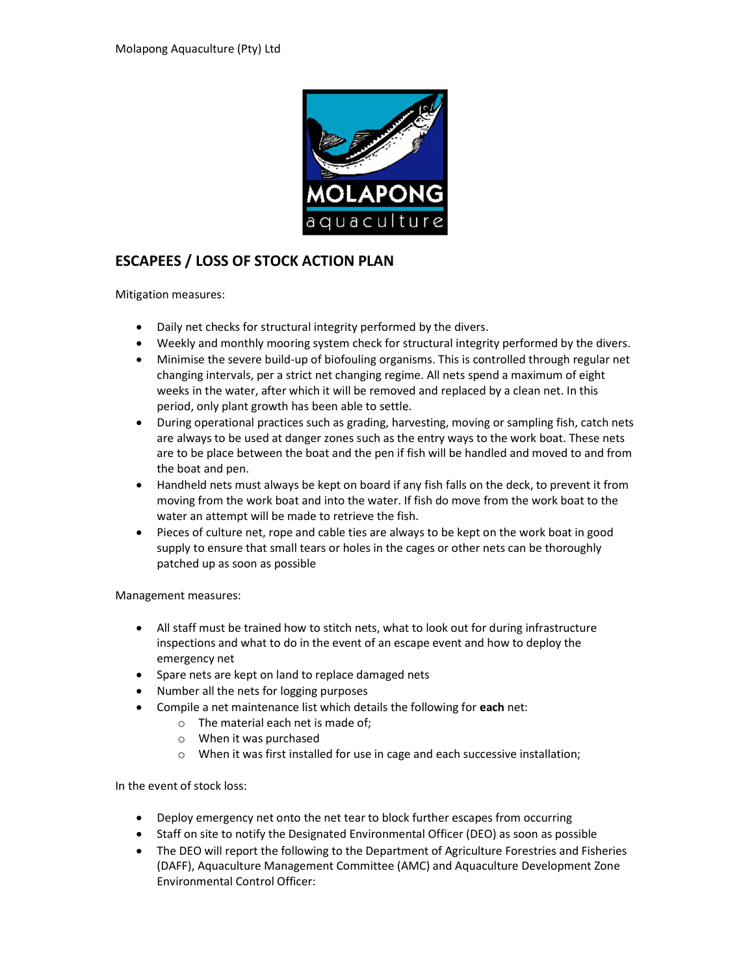

## ESCAPEES / LOSS OF STOCK ACTION PLAN

Mitigation measures:

- Daily net checks for structural integrity performed by the divers.
- Weekly and monthly mooring system check for structural integrity performed by the divers.
- Minimise the severe build-up of biofouling organisms. This is controlled through regular net changing intervals, per a strict net changing regime. All nets spend a maximum of eight weeks in the water, after which it will be removed and replaced by a clean net. In this period, only plant growth has been able to settle.
- During operational practices such as grading, harvesting, moving or sampling fish, catch nets are always to be used at danger zones such as the entry ways to the work boat. These nets are to be place between the boat and the pen if fish will be handled and moved to and from the boat and pen.
- Handheld nets must always be kept on board if any fish falls on the deck, to prevent it from moving from the work boat and into the water. If fish do move from the work boat to the water an attempt will be made to retrieve the fish.
- Pieces of culture net, rope and cable ties are always to be kept on the work boat in good supply to ensure that small tears or holes in the cages or other nets can be thoroughly patched up as soon as possible

Management measures:

- All staff must be trained how to stitch nets, what to look out for during infrastructure inspections and what to do in the event of an escape event and how to deploy the emergency net
- Spare nets are kept on land to replace damaged nets
- Number all the nets for logging purposes
- Compile a net maintenance list which details the following for each net:
	- o The material each net is made of;
	- o When it was purchased
	- o When it was first installed for use in cage and each successive installation;

In the event of stock loss:

- Deploy emergency net onto the net tear to block further escapes from occurring
- Staff on site to notify the Designated Environmental Officer (DEO) as soon as possible
- The DEO will report the following to the Department of Agriculture Forestries and Fisheries (DAFF), Aquaculture Management Committee (AMC) and Aquaculture Development Zone Environmental Control Officer: